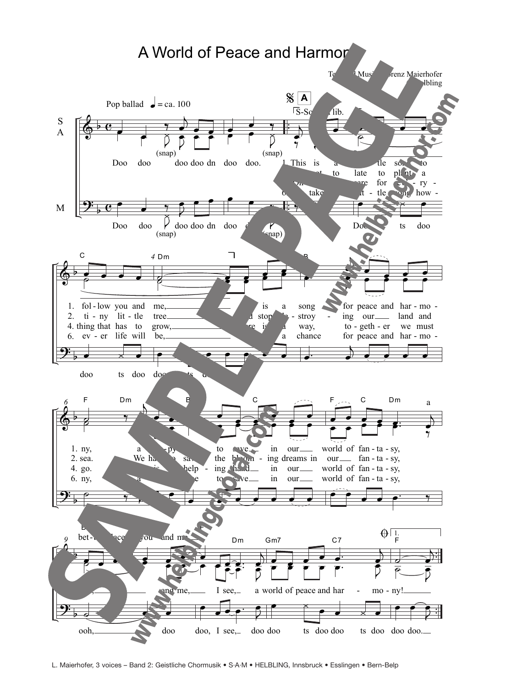

L. Maierhofer, 3 voices – Band 2: Geistliche Chormusik • S·A·M • HELBLING, Innsbruck • Esslingen • Bern-Belp